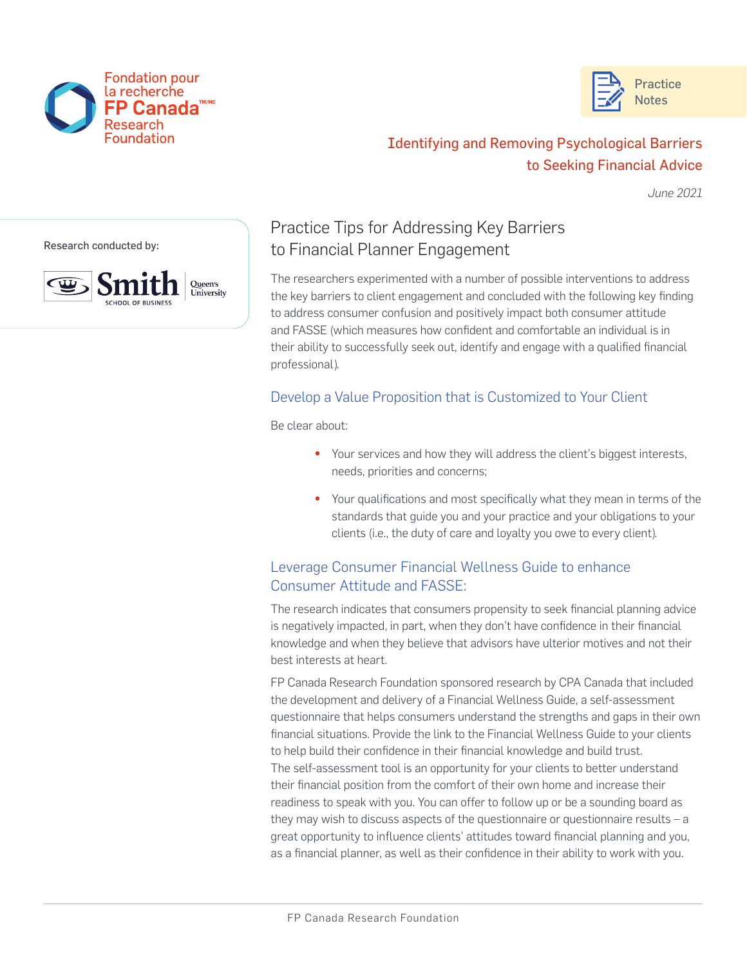



# Identifying and Removing Psychological Barriers to Seeking Financial Advice

*June 2021*

Research conducted by:



## Practice Tips for Addressing Key Barriers to Financial Planner Engagement

The researchers experimented with a number of possible interventions to address the key barriers to client engagement and concluded with the following key finding to address consumer confusion and positively impact both consumer attitude and FASSE (which measures how confident and comfortable an individual is in their ability to successfully seek out, identify and engage with a qualified financial professional).

#### Develop a Value Proposition that is Customized to Your Client

Be clear about:

- Your services and how they will address the client's biggest interests, needs, priorities and concerns;
- Your qualifications and most specifically what they mean in terms of the standards that guide you and your practice and your obligations to your clients (i.e., the duty of care and loyalty you owe to every client).

### Leverage Consumer Financial Wellness Guide to enhance Consumer Attitude and FASSE:

The research indicates that consumers propensity to seek financial planning advice is negatively impacted, in part, when they don't have confidence in their financial knowledge and when they believe that advisors have ulterior motives and not their best interests at heart.

FP Canada Research Foundation sponsored research by CPA Canada that included the development and delivery of a Financial Wellness Guide, a self-assessment questionnaire that helps consumers understand the strengths and gaps in their own financial situations. Provide the link to the Financial Wellness Guide to your clients to help build their confidence in their financial knowledge and build trust. The self-assessment tool is an opportunity for your clients to better understand their financial position from the comfort of their own home and increase their readiness to speak with you. You can offer to follow up or be a sounding board as they may wish to discuss aspects of the questionnaire or questionnaire results – a great opportunity to influence clients' attitudes toward financial planning and you, as a financial planner, as well as their confidence in their ability to work with you.